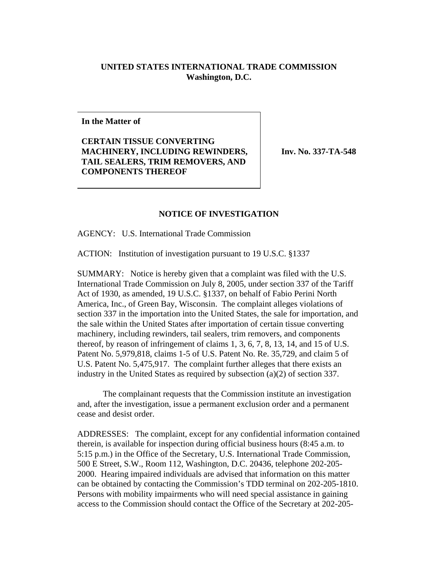## **UNITED STATES INTERNATIONAL TRADE COMMISSION Washington, D.C.**

**In the Matter of**

## **CERTAIN TISSUE CONVERTING MACHINERY, INCLUDING REWINDERS, TAIL SEALERS, TRIM REMOVERS, AND COMPONENTS THEREOF**

**Inv. No. 337-TA-548**

## **NOTICE OF INVESTIGATION**

AGENCY: U.S. International Trade Commission

ACTION: Institution of investigation pursuant to 19 U.S.C. §1337

SUMMARY: Notice is hereby given that a complaint was filed with the U.S. International Trade Commission on July 8, 2005, under section 337 of the Tariff Act of 1930, as amended, 19 U.S.C. §1337, on behalf of Fabio Perini North America, Inc., of Green Bay, Wisconsin. The complaint alleges violations of section 337 in the importation into the United States, the sale for importation, and the sale within the United States after importation of certain tissue converting machinery, including rewinders, tail sealers, trim removers, and components thereof, by reason of infringement of claims 1, 3, 6, 7, 8, 13, 14, and 15 of U.S. Patent No. 5,979,818, claims 1-5 of U.S. Patent No. Re. 35,729, and claim 5 of U.S. Patent No. 5,475,917. The complaint further alleges that there exists an industry in the United States as required by subsection (a)(2) of section 337.

The complainant requests that the Commission institute an investigation and, after the investigation, issue a permanent exclusion order and a permanent cease and desist order.

ADDRESSES: The complaint, except for any confidential information contained therein, is available for inspection during official business hours (8:45 a.m. to 5:15 p.m.) in the Office of the Secretary, U.S. International Trade Commission, 500 E Street, S.W., Room 112, Washington, D.C. 20436, telephone 202-205- 2000. Hearing impaired individuals are advised that information on this matter can be obtained by contacting the Commission's TDD terminal on 202-205-1810. Persons with mobility impairments who will need special assistance in gaining access to the Commission should contact the Office of the Secretary at 202-205-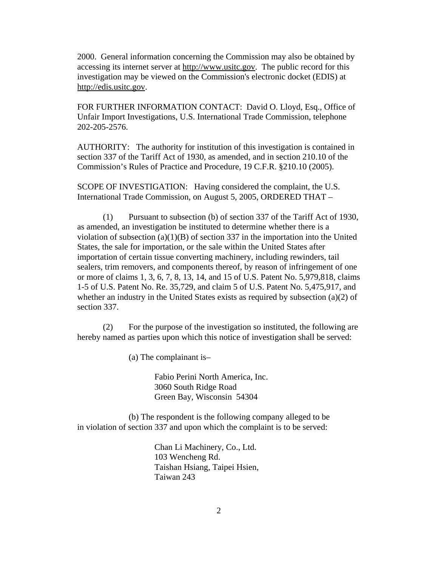2000. General information concerning the Commission may also be obtained by accessing its internet server at http://www.usitc.gov. The public record for this investigation may be viewed on the Commission's electronic docket (EDIS) at http://edis.usitc.gov.

FOR FURTHER INFORMATION CONTACT: David O. Lloyd, Esq., Office of Unfair Import Investigations, U.S. International Trade Commission, telephone 202-205-2576.

AUTHORITY: The authority for institution of this investigation is contained in section 337 of the Tariff Act of 1930, as amended, and in section 210.10 of the Commission's Rules of Practice and Procedure, 19 C.F.R. §210.10 (2005).

SCOPE OF INVESTIGATION: Having considered the complaint, the U.S. International Trade Commission, on August 5, 2005, ORDERED THAT –

(1) Pursuant to subsection (b) of section 337 of the Tariff Act of 1930, as amended, an investigation be instituted to determine whether there is a violation of subsection  $(a)(1)(B)$  of section 337 in the importation into the United States, the sale for importation, or the sale within the United States after importation of certain tissue converting machinery, including rewinders, tail sealers, trim removers, and components thereof, by reason of infringement of one or more of claims 1, 3, 6, 7, 8, 13, 14, and 15 of U.S. Patent No. 5,979,818, claims 1-5 of U.S. Patent No. Re. 35,729, and claim 5 of U.S. Patent No. 5,475,917, and whether an industry in the United States exists as required by subsection (a)(2) of section 337.

(2) For the purpose of the investigation so instituted, the following are hereby named as parties upon which this notice of investigation shall be served:

(a) The complainant is–

Fabio Perini North America, Inc. 3060 South Ridge Road Green Bay, Wisconsin 54304

(b) The respondent is the following company alleged to be in violation of section 337 and upon which the complaint is to be served:

> Chan Li Machinery, Co., Ltd. 103 Wencheng Rd. Taishan Hsiang, Taipei Hsien, Taiwan 243